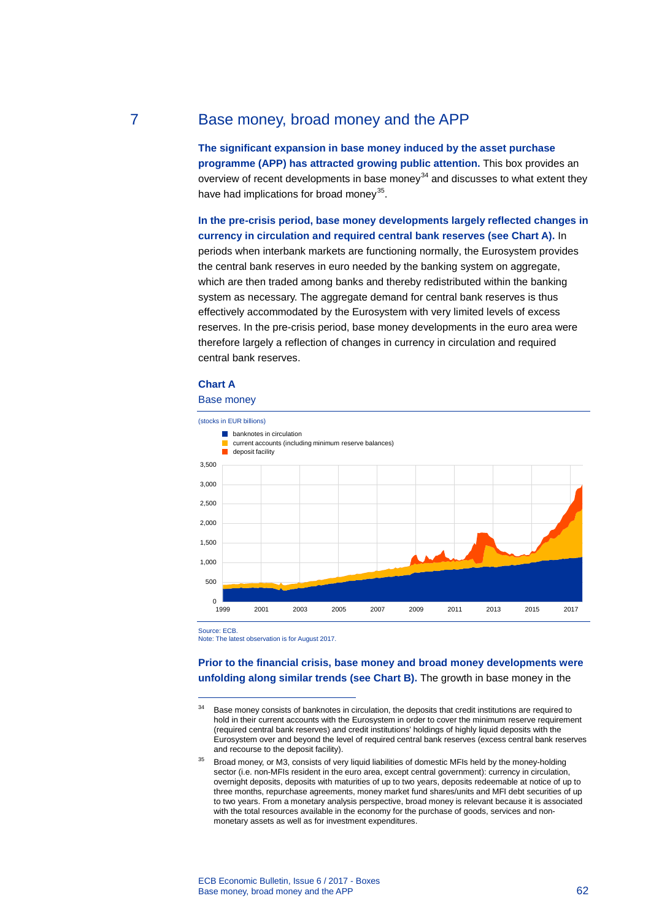# 7 Base money, broad money and the APP

**The significant expansion in base money induced by the asset purchase programme (APP) has attracted growing public attention.** This box provides an overview of recent developments in base money<sup>[34](#page-0-0)</sup> and discusses to what extent they have had implications for broad money<sup>35</sup>.

**In the pre-crisis period, base money developments largely reflected changes in currency in circulation and required central bank reserves (see Chart A).** In periods when interbank markets are functioning normally, the Eurosystem provides the central bank reserves in euro needed by the banking system on aggregate, which are then traded among banks and thereby redistributed within the banking system as necessary. The aggregate demand for central bank reserves is thus effectively accommodated by the Eurosystem with very limited levels of excess reserves. In the pre-crisis period, base money developments in the euro area were therefore largely a reflection of changes in currency in circulation and required central bank reserves.

# **Chart A**





Source: ECB.

-

Note: The latest observation is for August 2017.

**Prior to the financial crisis, base money and broad money developments were unfolding along similar trends (see Chart B).** The growth in base money in the

<span id="page-0-0"></span><sup>&</sup>lt;sup>34</sup> Base money consists of banknotes in circulation, the deposits that credit institutions are required to hold in their current accounts with the Eurosystem in order to cover the minimum reserve requirement (required central bank reserves) and credit institutions' holdings of highly liquid deposits with the Eurosystem over and beyond the level of required central bank reserves (excess central bank reserves and recourse to the deposit facility).

<span id="page-0-1"></span><sup>&</sup>lt;sup>35</sup> Broad money, or M3, consists of very liquid liabilities of domestic MFIs held by the money-holding sector (i.e. non-MFIs resident in the euro area, except central government): currency in circulation, overnight deposits, deposits with maturities of up to two years, deposits redeemable at notice of up to three months, repurchase agreements, money market fund shares/units and MFI debt securities of up to two years. From a monetary analysis perspective, broad money is relevant because it is associated with the total resources available in the economy for the purchase of goods, services and nonmonetary assets as well as for investment expenditures.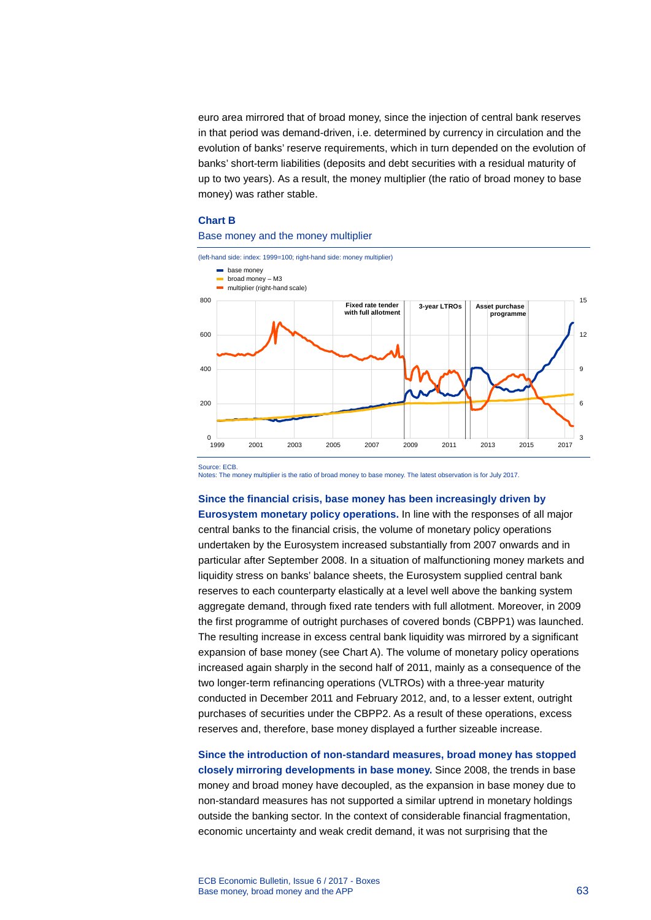euro area mirrored that of broad money, since the injection of central bank reserves in that period was demand-driven, i.e. determined by currency in circulation and the evolution of banks' reserve requirements, which in turn depended on the evolution of banks' short-term liabilities (deposits and debt securities with a residual maturity of up to two years). As a result, the money multiplier (the ratio of broad money to base money) was rather stable.

### **Chart B**

#### Base money and the money multiplier



Source: ECB.

Notes: The money multiplier is the ratio of broad money to base money. The latest observation is for July 2017.

## **Since the financial crisis, base money has been increasingly driven by**

**Eurosystem monetary policy operations.** In line with the responses of all major central banks to the financial crisis, the volume of monetary policy operations undertaken by the Eurosystem increased substantially from 2007 onwards and in particular after September 2008. In a situation of malfunctioning money markets and liquidity stress on banks' balance sheets, the Eurosystem supplied central bank reserves to each counterparty elastically at a level well above the banking system aggregate demand, through fixed rate tenders with full allotment. Moreover, in 2009 the first programme of outright purchases of covered bonds (CBPP1) was launched. The resulting increase in excess central bank liquidity was mirrored by a significant expansion of base money (see Chart A). The volume of monetary policy operations increased again sharply in the second half of 2011, mainly as a consequence of the two longer-term refinancing operations (VLTROs) with a three-year maturity conducted in December 2011 and February 2012, and, to a lesser extent, outright purchases of securities under the CBPP2. As a result of these operations, excess reserves and, therefore, base money displayed a further sizeable increase.

**Since the introduction of non-standard measures, broad money has stopped closely mirroring developments in base money.** Since 2008, the trends in base money and broad money have decoupled, as the expansion in base money due to non-standard measures has not supported a similar uptrend in monetary holdings outside the banking sector. In the context of considerable financial fragmentation, economic uncertainty and weak credit demand, it was not surprising that the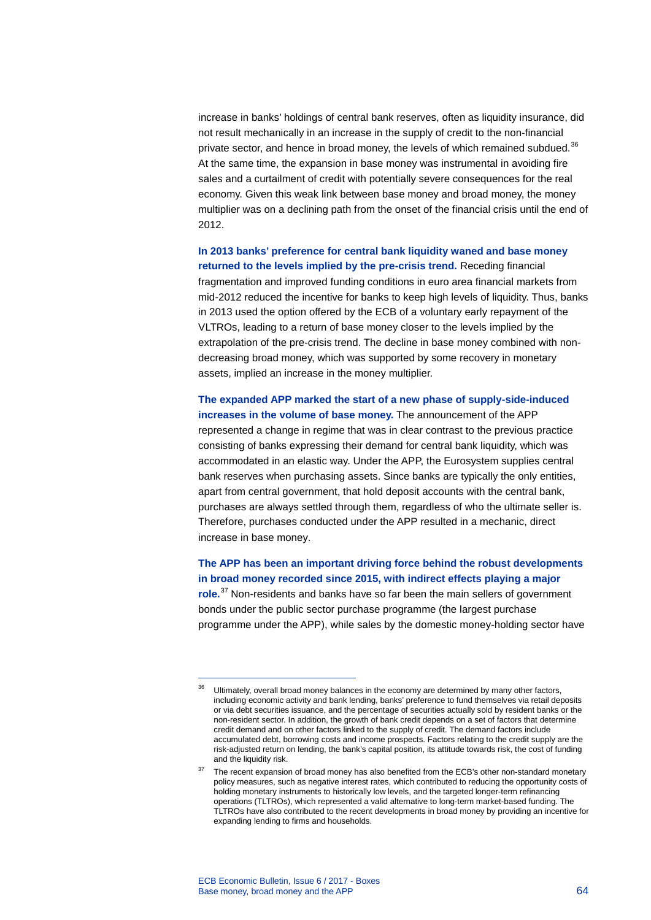increase in banks' holdings of central bank reserves, often as liquidity insurance, did not result mechanically in an increase in the supply of credit to the non-financial private sector, and hence in broad money, the levels of which remained subdued. $36$ At the same time, the expansion in base money was instrumental in avoiding fire sales and a curtailment of credit with potentially severe consequences for the real economy. Given this weak link between base money and broad money, the money multiplier was on a declining path from the onset of the financial crisis until the end of 2012.

**In 2013 banks' preference for central bank liquidity waned and base money returned to the levels implied by the pre-crisis trend.** Receding financial fragmentation and improved funding conditions in euro area financial markets from mid-2012 reduced the incentive for banks to keep high levels of liquidity. Thus, banks in 2013 used the option offered by the ECB of a voluntary early repayment of the VLTROs, leading to a return of base money closer to the levels implied by the extrapolation of the pre-crisis trend. The decline in base money combined with nondecreasing broad money, which was supported by some recovery in monetary assets, implied an increase in the money multiplier.

**The expanded APP marked the start of a new phase of supply-side-induced increases in the volume of base money.** The announcement of the APP represented a change in regime that was in clear contrast to the previous practice consisting of banks expressing their demand for central bank liquidity, which was accommodated in an elastic way. Under the APP, the Eurosystem supplies central bank reserves when purchasing assets. Since banks are typically the only entities, apart from central government, that hold deposit accounts with the central bank, purchases are always settled through them, regardless of who the ultimate seller is. Therefore, purchases conducted under the APP resulted in a mechanic, direct increase in base money.

**The APP has been an important driving force behind the robust developments in broad money recorded since 2015, with indirect effects playing a major role.**[37](#page-2-1) Non-residents and banks have so far been the main sellers of government bonds under the public sector purchase programme (the largest purchase programme under the APP), while sales by the domestic money-holding sector have

<span id="page-2-0"></span>-

Ultimately, overall broad money balances in the economy are determined by many other factors, including economic activity and bank lending, banks' preference to fund themselves via retail deposits or via debt securities issuance, and the percentage of securities actually sold by resident banks or the non-resident sector. In addition, the growth of bank credit depends on a set of factors that determine credit demand and on other factors linked to the supply of credit. The demand factors include accumulated debt, borrowing costs and income prospects. Factors relating to the credit supply are the risk-adjusted return on lending, the bank's capital position, its attitude towards risk, the cost of funding and the liquidity risk.

<span id="page-2-1"></span> $37$  The recent expansion of broad money has also benefited from the ECB's other non-standard monetary policy measures, such as negative interest rates, which contributed to reducing the opportunity costs of holding monetary instruments to historically low levels, and the targeted longer-term refinancing operations (TLTROs), which represented a valid alternative to long-term market-based funding. The TLTROs have also contributed to the recent developments in broad money by providing an incentive for expanding lending to firms and households.